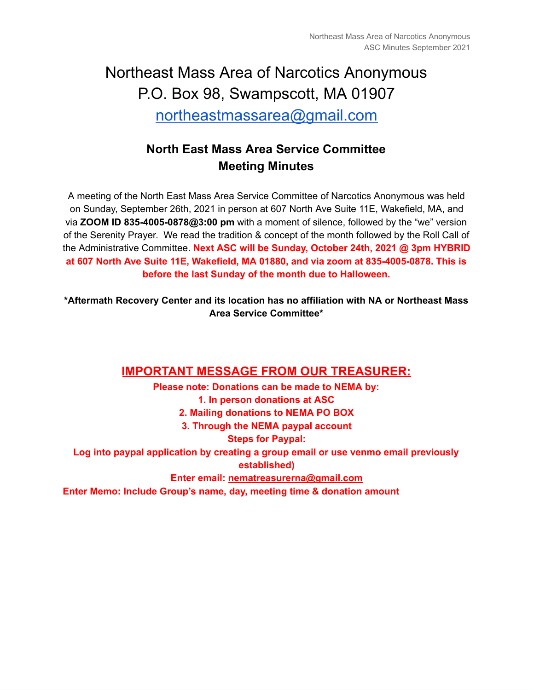# Northeast Mass Area of Narcotics Anonymous P.O. Box 98, Swampscott, MA 01907 [northeastmassarea@gmail.com](mailto:northeastmassarea@gmail.com)

# **North East Mass Area Service Committee Meeting Minutes**

A meeting of the North East Mass Area Service Committee of Narcotics Anonymous was held on Sunday, September 26th, 2021 in person at 607 North Ave Suite 11E, Wakefield, MA, and via **ZOOM ID 835-4005-0878@3:00 pm** with a moment of silence, followed by the "we" version of the Serenity Prayer. We read the tradition & concept of the month followed by the Roll Call of the Administrative Committee. **Next ASC will be Sunday, October 24th, 2021 @ 3pm HYBRID at 607 North Ave Suite 11E, Wakefield, MA 01880, and via zoom at 835-4005-0878. This is before the last Sunday of the month due to Halloween.**

**\*Aftermath Recovery Center and its location has no affiliation with NA or Northeast Mass Area Service Committee\***

#### **IMPORTANT MESSAGE FROM OUR TREASURER:**

**Please note: Donations can be made to NEMA by: 1. In person donations at ASC 2. Mailing donations to NEMA PO BOX 3. Through the NEMA paypal account Steps for Paypal: Log into paypal application by creating a group email or use venmo email previously established) Enter email: [nematreasurerna@gmail.com](mailto:nematreasurerna@gmail.com) Enter Memo: Include Group's name, day, meeting time & donation amount**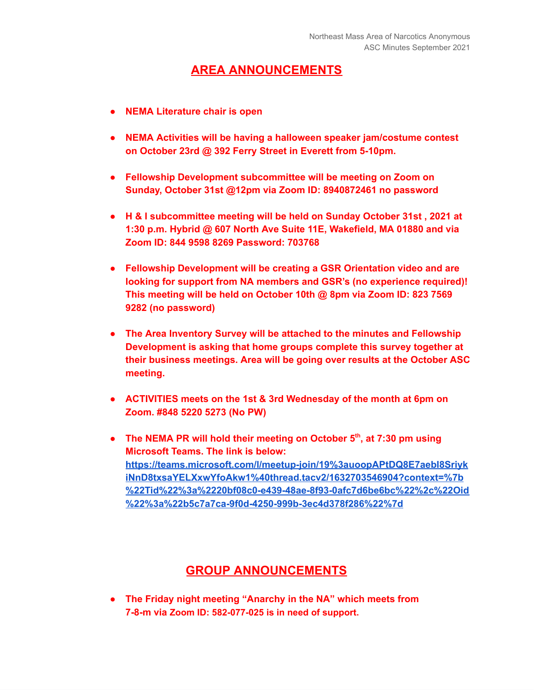## **AREA ANNOUNCEMENTS**

- **● NEMA Literature chair is open**
- **● NEMA Activities will be having a halloween speaker jam/costume contest on October 23rd @ 392 Ferry Street in Everett from 5-10pm.**
- **● Fellowship Development subcommittee will be meeting on Zoom on Sunday, October 31st @12pm via Zoom ID: 8940872461 no password**
- **● H & I subcommittee meeting will be held on Sunday October 31st , 2021 at 1:30 p.m. Hybrid @ 607 North Ave Suite 11E, Wakefield, MA 01880 and via Zoom ID: 844 9598 8269 Password: 703768**
- **● Fellowship Development will be creating a GSR Orientation video and are looking for support from NA members and GSR's (no experience required)! This meeting will be held on October 10th @ 8pm via Zoom ID: 823 7569 9282 (no password)**
- **● The Area Inventory Survey will be attached to the minutes and Fellowship Development is asking that home groups complete this survey together at their business meetings. Area will be going over results at the October ASC meeting.**
- **● ACTIVITIES meets on the 1st & 3rd Wednesday of the month at 6pm on Zoom. #848 5220 5273 (No PW)**
- **● The NEMA PR will hold their meeting on October 5 th , at 7:30 pm using Microsoft Teams. The link is below: [https://teams.microsoft.com/l/meetup-join/19%3auoopAPtDQ8E7aebI8Sriyk](https://teams.microsoft.com/l/meetup-join/19%3auoopAPtDQ8E7aebI8SriykiNnD8txsaYELXxwYfoAkw1%40thread.tacv2/1632703546904?context=%7b%22Tid%22%3a%2220bf08c0-e439-48ae-8f93-0afc7d6be6bc%22%2c%22Oid%22%3a%22b5c7a7ca-9f0d-4250-999b-3ec4d378f286%22%7d) [iNnD8txsaYELXxwYfoAkw1%40thread.tacv2/1632703546904?context=%7b](https://teams.microsoft.com/l/meetup-join/19%3auoopAPtDQ8E7aebI8SriykiNnD8txsaYELXxwYfoAkw1%40thread.tacv2/1632703546904?context=%7b%22Tid%22%3a%2220bf08c0-e439-48ae-8f93-0afc7d6be6bc%22%2c%22Oid%22%3a%22b5c7a7ca-9f0d-4250-999b-3ec4d378f286%22%7d) [%22Tid%22%3a%2220bf08c0-e439-48ae-8f93-0afc7d6be6bc%22%2c%22Oid](https://teams.microsoft.com/l/meetup-join/19%3auoopAPtDQ8E7aebI8SriykiNnD8txsaYELXxwYfoAkw1%40thread.tacv2/1632703546904?context=%7b%22Tid%22%3a%2220bf08c0-e439-48ae-8f93-0afc7d6be6bc%22%2c%22Oid%22%3a%22b5c7a7ca-9f0d-4250-999b-3ec4d378f286%22%7d) [%22%3a%22b5c7a7ca-9f0d-4250-999b-3ec4d378f286%22%7d](https://teams.microsoft.com/l/meetup-join/19%3auoopAPtDQ8E7aebI8SriykiNnD8txsaYELXxwYfoAkw1%40thread.tacv2/1632703546904?context=%7b%22Tid%22%3a%2220bf08c0-e439-48ae-8f93-0afc7d6be6bc%22%2c%22Oid%22%3a%22b5c7a7ca-9f0d-4250-999b-3ec4d378f286%22%7d)**

## **GROUP ANNOUNCEMENTS**

**● The Friday night meeting "Anarchy in the NA" which meets from 7-8-m via Zoom ID: 582-077-025 is in need of support.**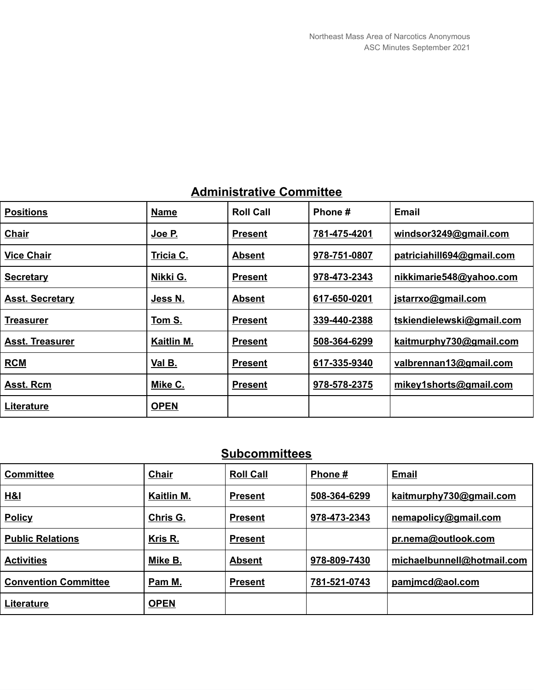|  | <b>Administrative Committee</b> |  |
|--|---------------------------------|--|
|--|---------------------------------|--|

| <b>Positions</b>       | <b>Name</b> | <b>Roll Call</b> | Phone #      | <b>Email</b>              |
|------------------------|-------------|------------------|--------------|---------------------------|
| <b>Chair</b>           | Joe P.      | <b>Present</b>   | 781-475-4201 | windsor $3249$ @gmail.com |
| <b>Vice Chair</b>      | Tricia C.   | <b>Absent</b>    | 978-751-0807 | patriciahill694@gmail.com |
| <b>Secretary</b>       | Nikki G.    | <b>Present</b>   | 978-473-2343 | nikkimarie548@yahoo.com   |
| <b>Asst. Secretary</b> | Jess N.     | <b>Absent</b>    | 617-650-0201 | jstarrxo@gmail.com        |
| <b>Treasurer</b>       | Tom S.      | <b>Present</b>   | 339-440-2388 | tskiendielewski@gmail.com |
| <b>Asst. Treasurer</b> | Kaitlin M.  | <b>Present</b>   | 508-364-6299 | kaitmurphy730@gmail.com   |
| <b>RCM</b>             | Val B.      | <b>Present</b>   | 617-335-9340 | valbrennan13@gmail.com    |
| Asst. Rcm              | Mike C.     | <b>Present</b>   | 978-578-2375 | mikey1shorts@gmail.com    |
| Literature             | <b>OPEN</b> |                  |              |                           |

# **Subcommittees**

| <b>Committee</b>            | Chair       | <b>Roll Call</b> | Phone #      | Email                      |
|-----------------------------|-------------|------------------|--------------|----------------------------|
| H&I                         | Kaitlin M.  | <b>Present</b>   | 508-364-6299 | kaitmurphy730@gmail.com    |
| <b>Policy</b>               | Chris G.    | <b>Present</b>   | 978-473-2343 | nemapolicy@gmail.com       |
| <b>Public Relations</b>     | Kris R.     | <b>Present</b>   |              | pr.nema@outlook.com        |
| <b>Activities</b>           | Mike B.     | <b>Absent</b>    | 978-809-7430 | michaelbunnell@hotmail.com |
| <b>Convention Committee</b> | Pam M.      | <b>Present</b>   | 781-521-0743 | pamjmcd@aol.com            |
| Literature                  | <b>OPEN</b> |                  |              |                            |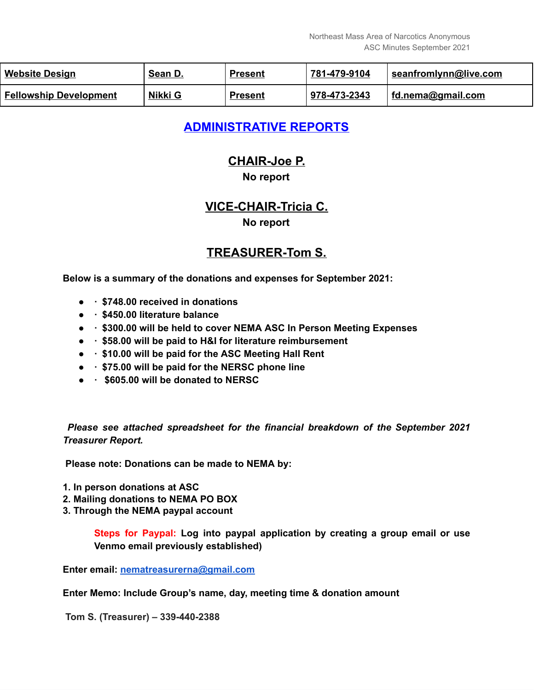| <b>Website Design</b>         | Sean D. | <b>Present</b> | 781-479-9104 | seanfromlynn@live.com |
|-------------------------------|---------|----------------|--------------|-----------------------|
| <b>Fellowship Development</b> | Nikki G | <b>Present</b> | 978-473-2343 | fd.nema@gmail.com     |

# **ADMINISTRATIVE REPORTS**

# **CHAIR-Joe P.**

#### **No report**

# **VICE-CHAIR-Tricia C.**

#### **No report**

#### **TREASURER-Tom S.**

**Below is a summary of the donations and expenses for September 2021:**

- **● · \$748.00 received in donations**
- **● · \$450.00 literature balance**
- **● · \$300.00 will be held to cover NEMA ASC In Person Meeting Expenses**
- **● · \$58.00 will be paid to H&I for literature reimbursement**
- **● · \$10.00 will be paid for the ASC Meeting Hall Rent**
- **● · \$75.00 will be paid for the NERSC phone line**
- **● · \$605.00 will be donated to NERSC**

*Please see attached spreadsheet for the financial breakdown of the September 2021 Treasurer Report.*

**Please note: Donations can be made to NEMA by:**

- **1. In person donations at ASC**
- **2. Mailing donations to NEMA PO BOX**
- **3. Through the NEMA paypal account**

**Steps for Paypal: Log into paypal application by creating a group email or use Venmo email previously established)**

**Enter email: [nematreasurerna@gmail.com](mailto:nematreasurerna@gmail.com)**

**Enter Memo: Include Group's name, day, meeting time & donation amount**

**Tom S. (Treasurer) – 339-440-2388**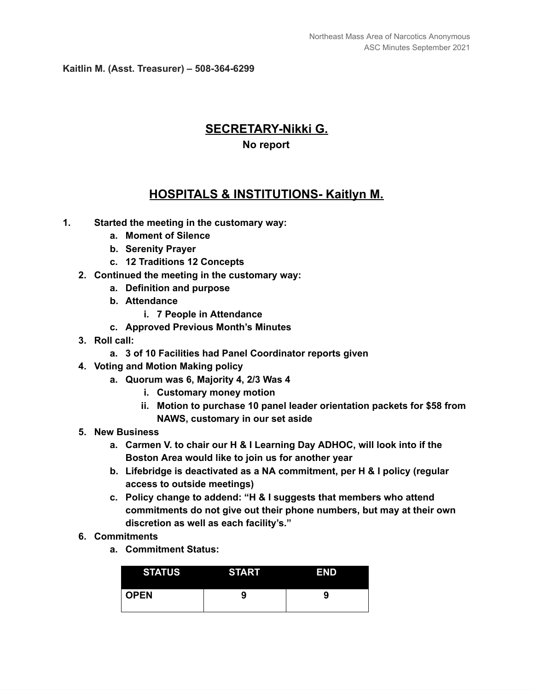**Kaitlin M. (Asst. Treasurer) – 508-364-6299**

# **SECRETARY-Nikki G. No report**

#### **HOSPITALS & INSTITUTIONS- Kaitlyn M.**

- **1. Started the meeting in the customary way:**
	- **a. Moment of Silence**
	- **b. Serenity Prayer**
	- **c. 12 Traditions 12 Concepts**
	- **2. Continued the meeting in the customary way:**
		- **a. Definition and purpose**
		- **b. Attendance**
			- **i. 7 People in Attendance**
		- **c. Approved Previous Month's Minutes**
	- **3. Roll call:**
		- **a. 3 of 10 Facilities had Panel Coordinator reports given**
	- **4. Voting and Motion Making policy**
		- **a. Quorum was 6, Majority 4, 2/3 Was 4**
			- **i. Customary money motion**
			- **ii. Motion to purchase 10 panel leader orientation packets for \$58 from NAWS, customary in our set aside**
	- **5. New Business**
		- **a. Carmen V. to chair our H & I Learning Day ADHOC, will look into if the Boston Area would like to join us for another year**
		- **b. Lifebridge is deactivated as a NA commitment, per H & I policy (regular access to outside meetings)**
		- **c. Policy change to addend: "H & I suggests that members who attend commitments do not give out their phone numbers, but may at their own discretion as well as each facility's."**
	- **6. Commitments**
		- **a. Commitment Status:**

| <b>STATUS</b> | <b>START</b> | <b>END</b> |
|---------------|--------------|------------|
| <b>OPEN</b>   | 9            | 9          |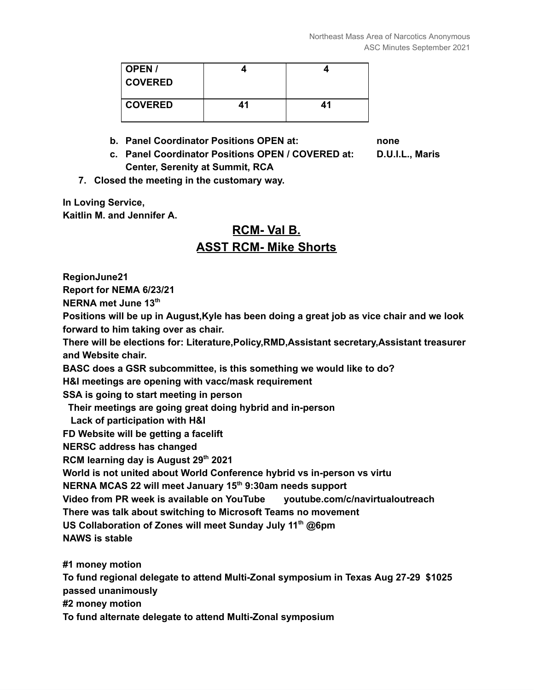| $\vert$ OPEN /<br><b>COVERED</b> |    |    |
|----------------------------------|----|----|
| <b>COVERED</b>                   | 41 | 41 |

**b. Panel Coordinator Positions OPEN at: none**

- **c. Panel Coordinator Positions OPEN / COVERED at: D.U.I.L., Maris Center, Serenity at Summit, RCA**
- **7. Closed the meeting in the customary way.**

**In Loving Service, Kaitlin M. and Jennifer A.**

# **RCM- Val B. ASST RCM- Mike Shorts**

**RegionJune21**

**Report for NEMA 6/23/21**

**NERNA met June 13 th**

**Positions will be up in August,Kyle has been doing a great job as vice chair and we look forward to him taking over as chair.**

**There will be elections for: Literature,Policy,RMD,Assistant secretary,Assistant treasurer and Website chair.**

**BASC does a GSR subcommittee, is this something we would like to do?**

**H&I meetings are opening with vacc/mask requirement**

**SSA is going to start meeting in person**

**Their meetings are going great doing hybrid and in-person**

**Lack of participation with H&I**

**FD Website will be getting a facelift**

**NERSC address has changed**

**RCM learning day is August 29 th 2021**

**World is not united about World Conference hybrid vs in-person vs virtu**

**NERNA MCAS 22 will meet January 15 th 9:30am needs support**

**Video from PR week is available on YouTube youtube.com/c/navirtualoutreach**

**There was talk about switching to Microsoft Teams no movement**

**US Collaboration of Zones will meet Sunday July 11 th @6pm**

**NAWS is stable**

**#1 money motion To fund regional delegate to attend Multi-Zonal symposium in Texas Aug 27-29 \$1025 passed unanimously #2 money motion To fund alternate delegate to attend Multi-Zonal symposium**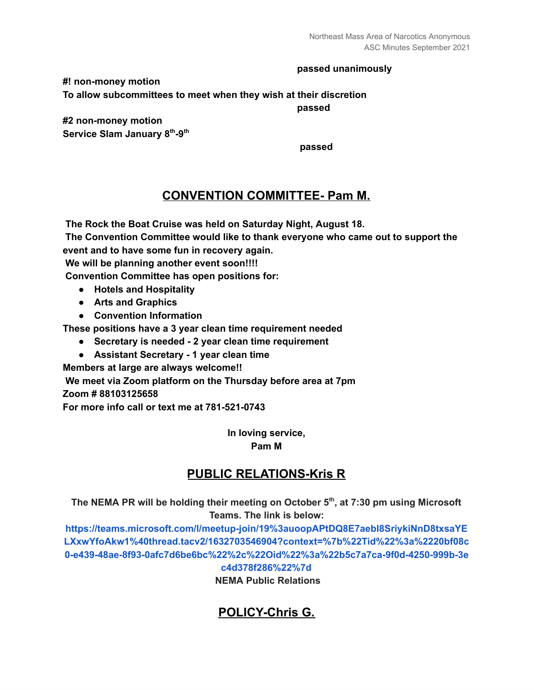#### **passed unanimously**

**#! non-money motion To allow subcommittees to meet when they wish at their discretion**

**passed**

**#2 non-money motion Service Slam January 8 th -9 th**

**passed**

#### **CONVENTION COMMITTEE- Pam M.**

**The Rock the Boat Cruise was held on Saturday Night, August 18.**

**The Convention Committee would like to thank everyone who came out to support the event and to have some fun in recovery again.**

**We will be planning another event soon!!!!**

**Convention Committee has open positions for:**

- **● Hotels and Hospitality**
- **● Arts and Graphics**
- **● Convention Information**

**These positions have a 3 year clean time requirement needed**

- **● Secretary is needed - 2 year clean time requirement**
- **● Assistant Secretary - 1 year clean time**

**Members at large are always welcome!!**

**We meet via Zoom platform on the Thursday before area at 7pm Zoom # 88103125658**

**For more info call or text me at 781-521-0743**

**In loving service, Pam M**

## **PUBLIC RELATIONS-Kris R**

**The NEMA PR will be holding their meeting on October 5 th , at 7:30 pm using Microsoft Teams. The link is below:**

**[https://teams.microsoft.com/l/meetup-join/19%3auoopAPtDQ8E7aebI8SriykiNnD8txsaYE](https://teams.microsoft.com/l/meetup-join/19%3auoopAPtDQ8E7aebI8SriykiNnD8txsaYELXxwYfoAkw1%40thread.tacv2/1632703546904?context=%7b%22Tid%22%3a%2220bf08c0-e439-48ae-8f93-0afc7d6be6bc%22%2c%22Oid%22%3a%22b5c7a7ca-9f0d-4250-999b-3ec4d378f286%22%7d) [LXxwYfoAkw1%40thread.tacv2/1632703546904?context=%7b%22Tid%22%3a%2220bf08c](https://teams.microsoft.com/l/meetup-join/19%3auoopAPtDQ8E7aebI8SriykiNnD8txsaYELXxwYfoAkw1%40thread.tacv2/1632703546904?context=%7b%22Tid%22%3a%2220bf08c0-e439-48ae-8f93-0afc7d6be6bc%22%2c%22Oid%22%3a%22b5c7a7ca-9f0d-4250-999b-3ec4d378f286%22%7d) [0-e439-48ae-8f93-0afc7d6be6bc%22%2c%22Oid%22%3a%22b5c7a7ca-9f0d-4250-999b-3e](https://teams.microsoft.com/l/meetup-join/19%3auoopAPtDQ8E7aebI8SriykiNnD8txsaYELXxwYfoAkw1%40thread.tacv2/1632703546904?context=%7b%22Tid%22%3a%2220bf08c0-e439-48ae-8f93-0afc7d6be6bc%22%2c%22Oid%22%3a%22b5c7a7ca-9f0d-4250-999b-3ec4d378f286%22%7d) [c4d378f286%22%7d](https://teams.microsoft.com/l/meetup-join/19%3auoopAPtDQ8E7aebI8SriykiNnD8txsaYELXxwYfoAkw1%40thread.tacv2/1632703546904?context=%7b%22Tid%22%3a%2220bf08c0-e439-48ae-8f93-0afc7d6be6bc%22%2c%22Oid%22%3a%22b5c7a7ca-9f0d-4250-999b-3ec4d378f286%22%7d)**

**NEMA Public Relations**

## **POLICY-Chris G.**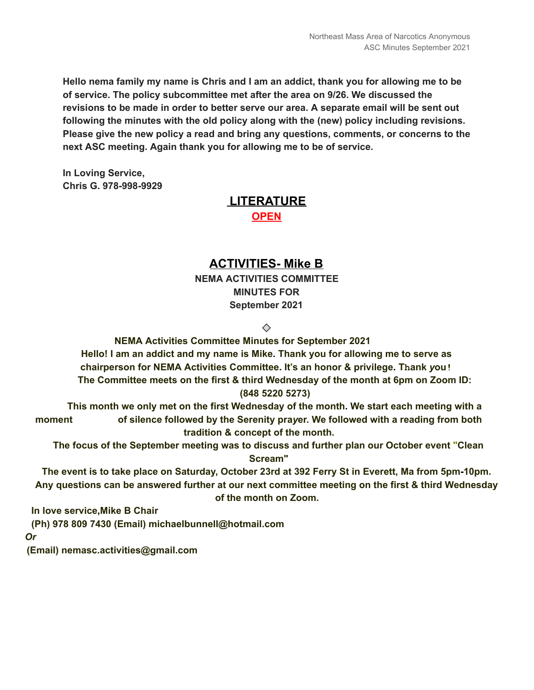**Hello nema family my name is Chris and I am an addict, thank you for allowing me to be of service. The policy subcommittee met after the area on 9/26. We discussed the revisions to be made in order to better serve our area. A separate email will be sent out following the minutes with the old policy along with the (new) policy including revisions. Please give the new policy a read and bring any questions, comments, or concerns to the next ASC meeting. Again thank you for allowing me to be of service.**

**In Loving Service, Chris G. 978-998-9929**

# **LITERATURE OPEN**

## **ACTIVITIES- Mike B**

**NEMA ACTIVITIES COMMITTEE MINUTES FOR September 2021**

 $\oslash$ 

**NEMA Activities Committee Minutes for September 2021 Hello! I am an addict and my name is Mike. Thank you for allowing me to serve as chairperson for NEMA Activities Committee. It's an honor & privilege. Thank** *y***ou! The Committee meets on the first & third Wednesday of the month at 6pm on Zoom ID: (848 5220 5273)**

**This month we only met on the first Wednesday of the month. We start each meeting with a moment of silence followed by the Serenity pra***y***er. We followed with a reading from both tradition & concept of the month.**

**The focus of the September meeting was to discuss and further plan our October event "Clean Scream"**

The event is to take place on Saturday, October 23rd at 392 Ferry St in Everett, Ma from 5pm-10pm. **Any questions can be answered further at our next committee meeting on the first & third Wednesday of the month on Zoom.**

**In love service,Mike B Chair**

**(Ph) 978 809 7430 (Email) michaelbunnell@hotmail.com**

*Or*

**(Email) nemasc.activities@gmail.com**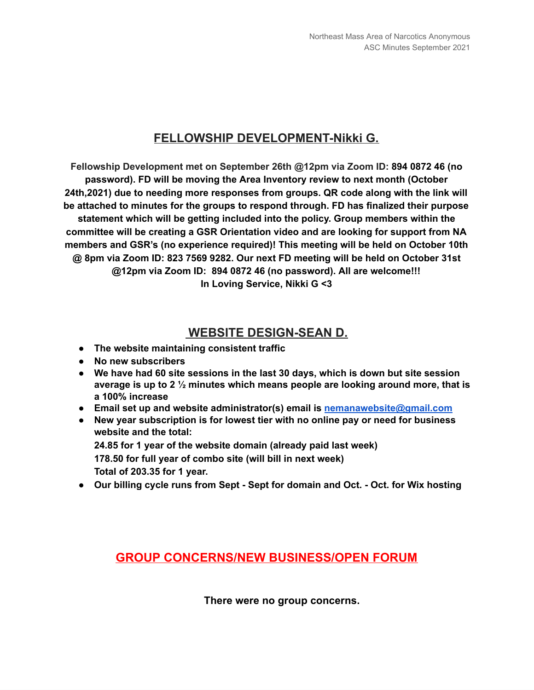## **FELLOWSHIP DEVELOPMENT-Nikki G.**

**Fellowship Development met on September 26th @12pm via Zoom ID: 894 0872 46 (no password). FD will be moving the Area Inventory review to next month (October 24th,2021) due to needing more responses from groups. QR code along with the link will be attached to minutes for the groups to respond through. FD has finalized their purpose statement which will be getting included into the policy. Group members within the committee will be creating a GSR Orientation video and are looking for support from NA members and GSR's (no experience required)! This meeting will be held on October 10th @ 8pm via Zoom ID: 823 7569 9282. Our next FD meeting will be held on October 31st @12pm via Zoom ID: 894 0872 46 (no password). All are welcome!!! In Loving Service, Nikki G <3**

#### **WEBSITE DESIGN-SEAN D.**

- **● The website maintaining consistent traffic**
- **● No new subscribers**
- **● We have had 60 site sessions in the last 30 days, which is down but site session average is up to 2 ½ minutes which means people are looking around more, that is a 100% increase**
- **● Email set up and website administrator(s) email is [nemanawebsite@gmail.com](mailto:nemanawebsite@gmail.com)**
- **● New year subscription is for lowest tier with no online pay or need for business website and the total:**

**24.85 for 1 year of the website domain (already paid last week) 178.50 for full year of combo site (will bill in next week) Total of 203.35 for 1 year.**

**● Our billing cycle runs from Sept - Sept for domain and Oct. - Oct. for Wix hosting**

#### **GROUP CONCERNS/NEW BUSINESS/OPEN FORUM**

**There were no group concerns.**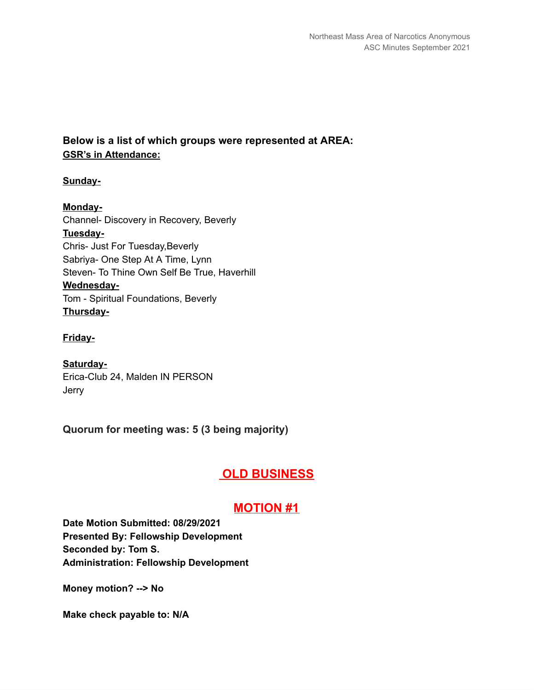#### **Below is a list of which groups were represented at AREA: GSR's in Attendance:**

#### **Sunday-**

**Monday-**Channel- Discovery in Recovery, Beverly **Tuesday-**Chris- Just For Tuesday,Beverly Sabriya- One Step At A Time, Lynn Steven- To Thine Own Self Be True, Haverhill **Wednesday-**Tom - Spiritual Foundations, Beverly **Thursday-**

**Friday-**

**Saturday-**Erica-Club 24, Malden IN PERSON Jerry

**Quorum for meeting was: 5 (3 being majority)**

# **OLD BUSINESS**

#### **MOTION #1**

**Date Motion Submitted: 08/29/2021 Presented By: Fellowship Development Seconded by: Tom S. Administration: Fellowship Development**

**Money motion? --> No**

**Make check payable to: N/A**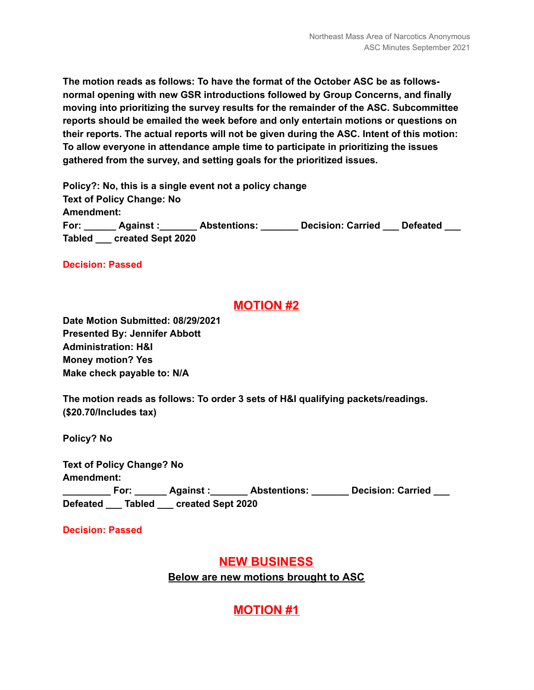**The motion reads as follows: To have the format of the October ASC be as followsnormal opening with new GSR introductions followed by Group Concerns, and finally moving into prioritizing the survey results for the remainder of the ASC. Subcommittee reports should be emailed the week before and only entertain motions or questions on their reports. The actual reports will not be given during the ASC. Intent of this motion: To allow everyone in attendance ample time to participate in prioritizing the issues gathered from the survey, and setting goals for the prioritized issues.**

**Policy?: No, this is a single event not a policy change Text of Policy Change: No Amendment: For: \_\_\_\_\_\_ Against :\_\_\_\_\_\_\_ Abstentions: \_\_\_\_\_\_\_ Decision: Carried \_\_\_ Defeated \_\_\_ Tabled \_\_\_ created Sept 2020**

**Decision: Passed**

#### **MOTION #2**

**Date Motion Submitted: 08/29/2021 Presented By: Jennifer Abbott Administration: H&I Money motion? Yes Make check payable to: N/A**

**The motion reads as follows: To order 3 sets of H&I qualifying packets/readings. (\$20.70/Includes tax)**

**Policy? No**

**Text of Policy Change? No Amendment: \_\_\_\_\_\_\_\_\_ For: \_\_\_\_\_\_ Against :\_\_\_\_\_\_\_ Abstentions: \_\_\_\_\_\_\_ Decision: Carried \_\_\_ Defeated \_\_\_ Tabled \_\_\_ created Sept 2020**

**Decision: Passed**

#### **NEW BUSINESS**

**Below are new motions brought to ASC**

## **MOTION #1**